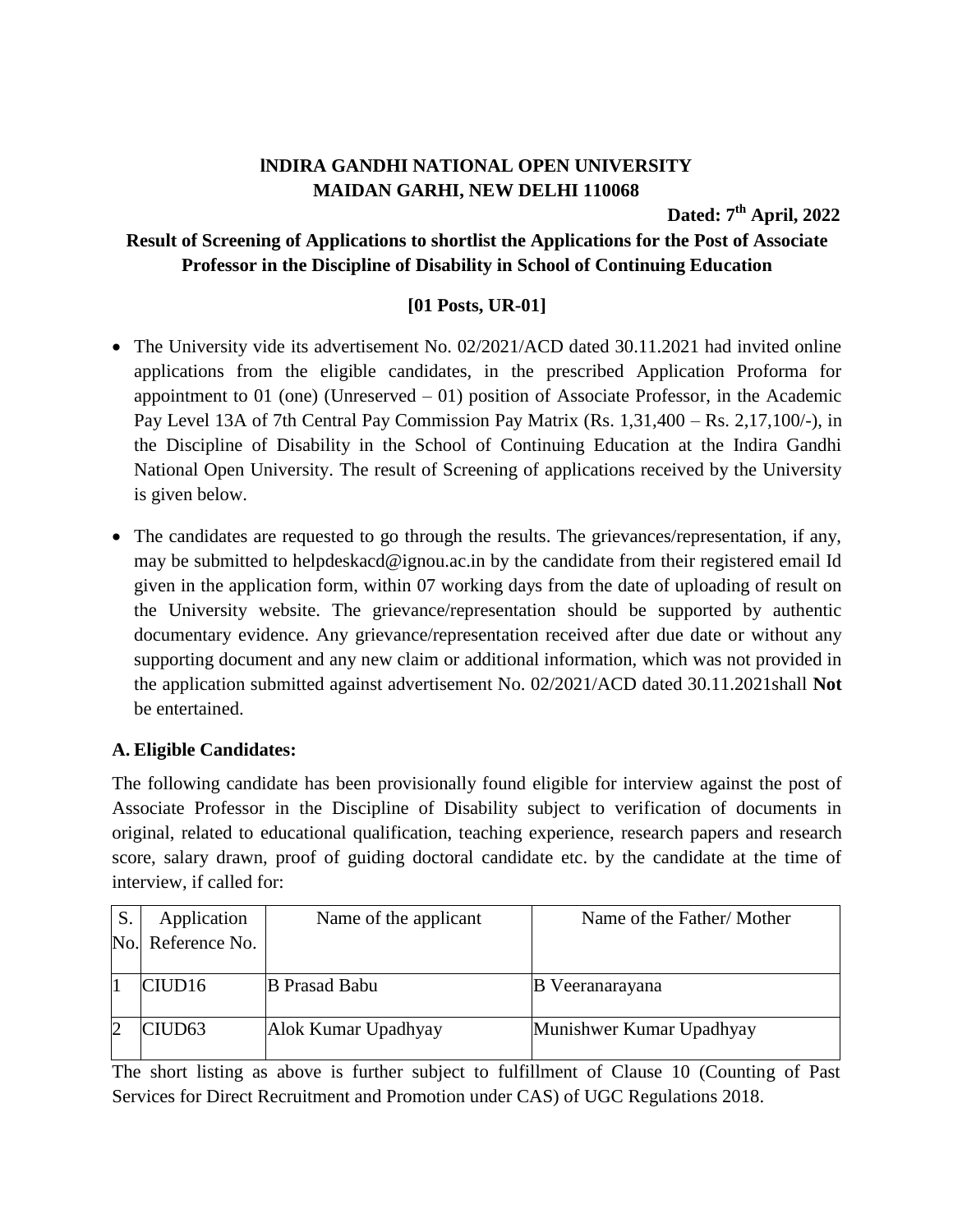# **lNDIRA GANDHI NATIONAL OPEN UNIVERSITY MAIDAN GARHI, NEW DELHI 110068**

**Dated: 7 th April, 2022**

# **Result of Screening of Applications to shortlist the Applications for the Post of Associate Professor in the Discipline of Disability in School of Continuing Education**

### **[01 Posts, UR-01]**

- The University vide its advertisement No. 02/2021/ACD dated 30.11.2021 had invited online applications from the eligible candidates, in the prescribed Application Proforma for appointment to  $01$  (one) (Unreserved  $-01$ ) position of Associate Professor, in the Academic Pay Level 13A of 7th Central Pay Commission Pay Matrix (Rs. 1,31,400 – Rs. 2,17,100/-), in the Discipline of Disability in the School of Continuing Education at the Indira Gandhi National Open University. The result of Screening of applications received by the University is given below.
- The candidates are requested to go through the results. The grievances/representation, if any, may be submitted to helpdeskacd@ignou.ac.in by the candidate from their registered email Id given in the application form, within 07 working days from the date of uploading of result on the University website. The grievance/representation should be supported by authentic documentary evidence. Any grievance/representation received after due date or without any supporting document and any new claim or additional information, which was not provided in the application submitted against advertisement No. 02/2021/ACD dated 30.11.2021shall **Not** be entertained.

### **A. Eligible Candidates:**

The following candidate has been provisionally found eligible for interview against the post of Associate Professor in the Discipline of Disability subject to verification of documents in original, related to educational qualification, teaching experience, research papers and research score, salary drawn, proof of guiding doctoral candidate etc. by the candidate at the time of interview, if called for:

| S. | Application        | Name of the applicant | Name of the Father/Mother |
|----|--------------------|-----------------------|---------------------------|
|    | No. Reference No.  |                       |                           |
|    |                    |                       |                           |
|    | CIUD16             | <b>B</b> Prasad Babu  | B Veeranarayana           |
|    | CIUD <sub>63</sub> | Alok Kumar Upadhyay   | Munishwer Kumar Upadhyay  |

The short listing as above is further subject to fulfillment of Clause 10 (Counting of Past Services for Direct Recruitment and Promotion under CAS) of UGC Regulations 2018.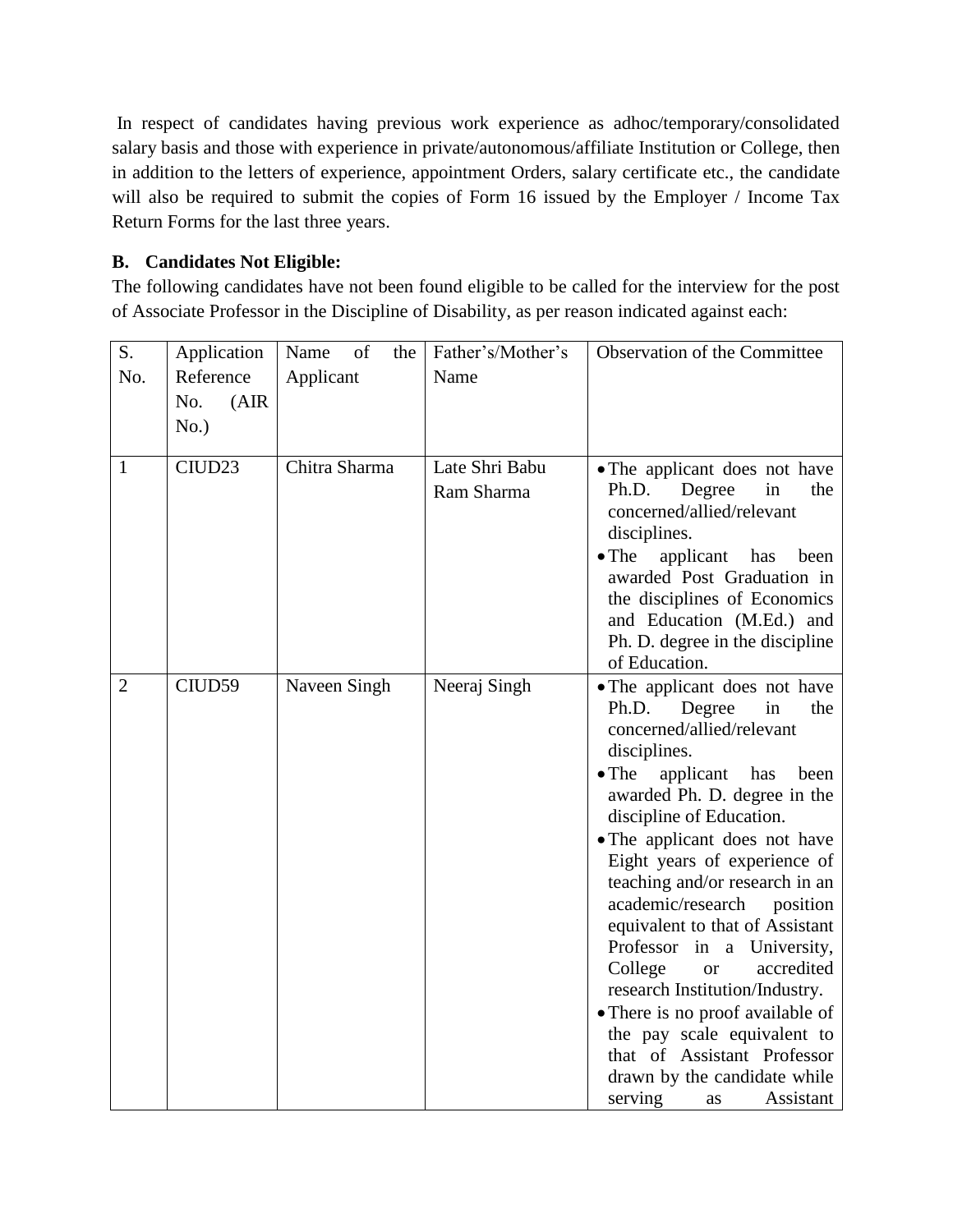In respect of candidates having previous work experience as adhoc/temporary/consolidated salary basis and those with experience in private/autonomous/affiliate Institution or College, then in addition to the letters of experience, appointment Orders, salary certificate etc., the candidate will also be required to submit the copies of Form 16 issued by the Employer / Income Tax Return Forms for the last three years.

# **B. Candidates Not Eligible:**

The following candidates have not been found eligible to be called for the interview for the post of Associate Professor in the Discipline of Disability, as per reason indicated against each:

| S.             | Application        | of<br>Name<br>the | Father's/Mother's            | Observation of the Committee                                                                                                                                                                                                                                                                                                                                                                                                                                                                                                                                                                                                                                     |
|----------------|--------------------|-------------------|------------------------------|------------------------------------------------------------------------------------------------------------------------------------------------------------------------------------------------------------------------------------------------------------------------------------------------------------------------------------------------------------------------------------------------------------------------------------------------------------------------------------------------------------------------------------------------------------------------------------------------------------------------------------------------------------------|
| No.            | Reference          | Applicant         | Name                         |                                                                                                                                                                                                                                                                                                                                                                                                                                                                                                                                                                                                                                                                  |
|                | (AIR)<br>No.       |                   |                              |                                                                                                                                                                                                                                                                                                                                                                                                                                                                                                                                                                                                                                                                  |
|                | No.)               |                   |                              |                                                                                                                                                                                                                                                                                                                                                                                                                                                                                                                                                                                                                                                                  |
|                |                    |                   |                              |                                                                                                                                                                                                                                                                                                                                                                                                                                                                                                                                                                                                                                                                  |
| $\mathbf{1}$   | CIUD <sub>23</sub> | Chitra Sharma     | Late Shri Babu<br>Ram Sharma | • The applicant does not have<br>Ph.D.<br>Degree<br>in<br>the<br>concerned/allied/relevant<br>disciplines.<br>applicant<br>$\bullet$ The<br>has<br>been<br>awarded Post Graduation in<br>the disciplines of Economics<br>and Education (M.Ed.) and<br>Ph. D. degree in the discipline<br>of Education.                                                                                                                                                                                                                                                                                                                                                           |
| $\overline{2}$ | CIUD59             | Naveen Singh      | Neeraj Singh                 | • The applicant does not have<br>Ph.D.<br>Degree<br>in<br>the<br>concerned/allied/relevant<br>disciplines.<br>$\bullet$ The<br>applicant<br>has<br>been<br>awarded Ph. D. degree in the<br>discipline of Education.<br>• The applicant does not have<br>Eight years of experience of<br>teaching and/or research in an<br>academic/research<br>position<br>equivalent to that of Assistant<br>Professor in a University,<br>College<br>accredited<br><b>or</b><br>research Institution/Industry.<br>• There is no proof available of<br>the pay scale equivalent to<br>that of Assistant Professor<br>drawn by the candidate while<br>Assistant<br>serving<br>as |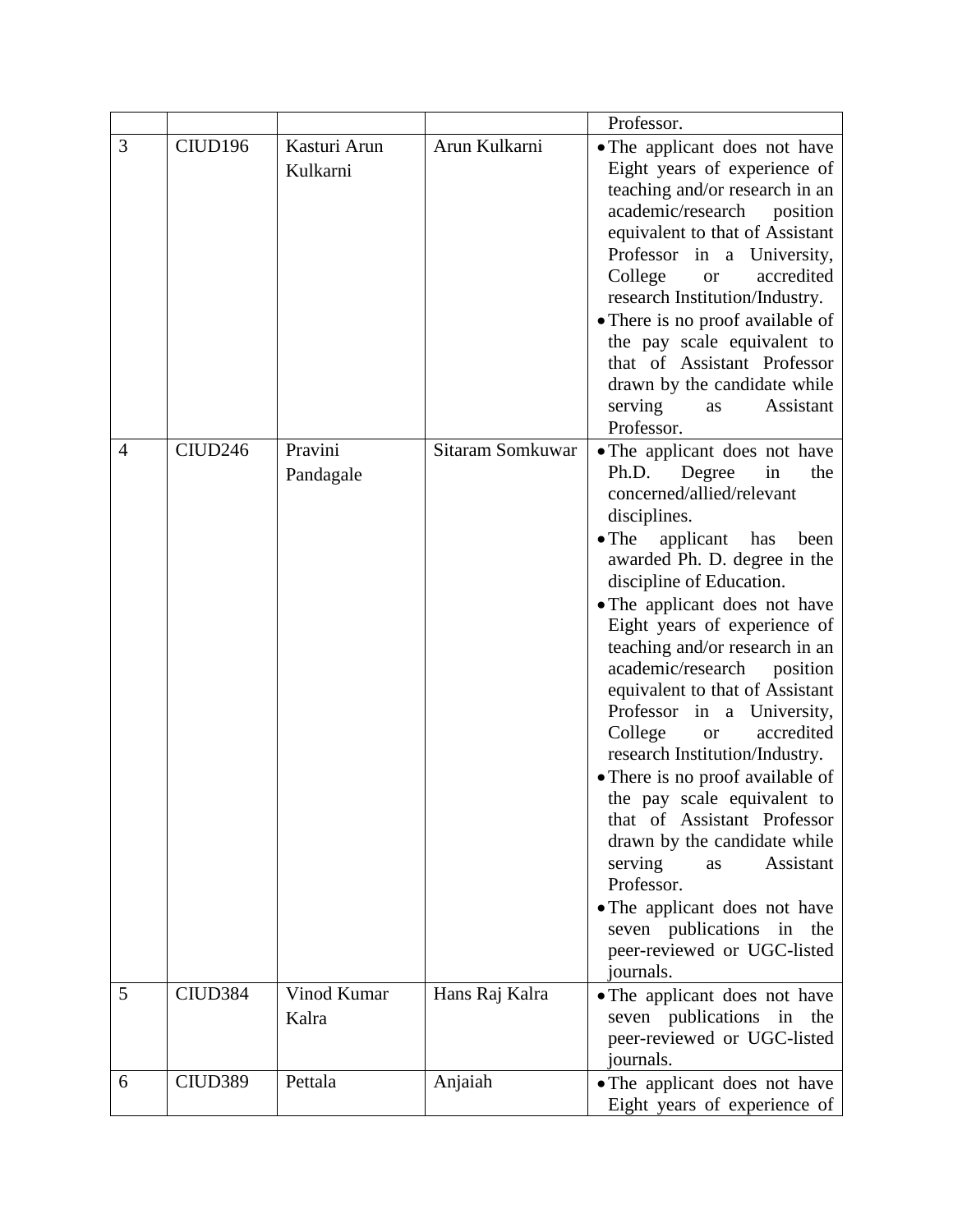|   |                     |                          |                  | Professor.                                                                                                                                                                                                                                                                                                                                                                                                                                                                                                                                                                                                                                                                                                                                                                               |
|---|---------------------|--------------------------|------------------|------------------------------------------------------------------------------------------------------------------------------------------------------------------------------------------------------------------------------------------------------------------------------------------------------------------------------------------------------------------------------------------------------------------------------------------------------------------------------------------------------------------------------------------------------------------------------------------------------------------------------------------------------------------------------------------------------------------------------------------------------------------------------------------|
| 3 | CIUD196             | Kasturi Arun<br>Kulkarni | Arun Kulkarni    | • The applicant does not have<br>Eight years of experience of<br>teaching and/or research in an<br>academic/research position<br>equivalent to that of Assistant<br>Professor in a University,<br>accredited<br>College<br><b>or</b><br>research Institution/Industry.<br>• There is no proof available of<br>the pay scale equivalent to<br>that of Assistant Professor<br>drawn by the candidate while<br>serving<br>Assistant<br>as<br>Professor.                                                                                                                                                                                                                                                                                                                                     |
| 4 | CIUD246             | Pravini<br>Pandagale     | Sitaram Somkuwar | • The applicant does not have<br>Degree<br>in<br>Ph.D.<br>the<br>concerned/allied/relevant<br>disciplines.<br>$\bullet$ The<br>applicant<br>has<br>been<br>awarded Ph. D. degree in the<br>discipline of Education.<br>• The applicant does not have<br>Eight years of experience of<br>teaching and/or research in an<br>academic/research<br>position<br>equivalent to that of Assistant<br>Professor in a University,<br>accredited<br>College<br><b>or</b><br>research Institution/Industry.<br>• There is no proof available of<br>the pay scale equivalent to<br>that of Assistant Professor<br>drawn by the candidate while<br>serving<br>Assistant<br>as<br>Professor.<br>• The applicant does not have<br>seven publications in the<br>peer-reviewed or UGC-listed<br>journals. |
| 5 | CIUD <sub>384</sub> | Vinod Kumar<br>Kalra     | Hans Raj Kalra   | • The applicant does not have<br>seven publications in the<br>peer-reviewed or UGC-listed<br>journals.                                                                                                                                                                                                                                                                                                                                                                                                                                                                                                                                                                                                                                                                                   |
| 6 | CIUD389             | Pettala                  | Anjaiah          | • The applicant does not have<br>Eight years of experience of                                                                                                                                                                                                                                                                                                                                                                                                                                                                                                                                                                                                                                                                                                                            |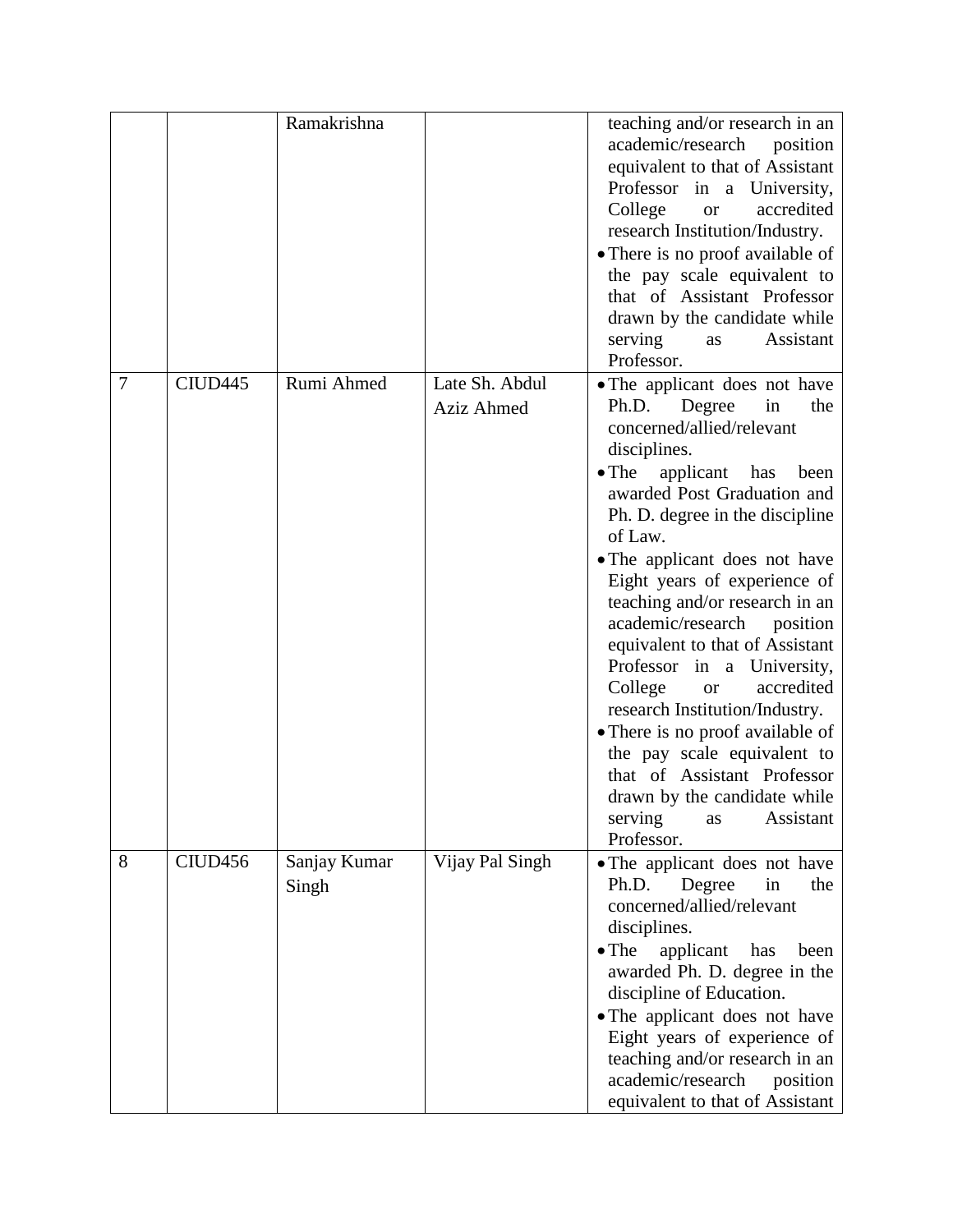|   |                     | Ramakrishna           |                              | teaching and/or research in an<br>academic/research position<br>equivalent to that of Assistant<br>Professor in a University,<br>College<br>accredited<br><b>or</b><br>research Institution/Industry.<br>• There is no proof available of<br>the pay scale equivalent to<br>that of Assistant Professor<br>drawn by the candidate while<br>serving<br>Assistant<br>as<br>Professor.                                                                                                                                                                                                                                                                                                       |
|---|---------------------|-----------------------|------------------------------|-------------------------------------------------------------------------------------------------------------------------------------------------------------------------------------------------------------------------------------------------------------------------------------------------------------------------------------------------------------------------------------------------------------------------------------------------------------------------------------------------------------------------------------------------------------------------------------------------------------------------------------------------------------------------------------------|
| 7 | CIUD <sub>445</sub> | Rumi Ahmed            | Late Sh. Abdul<br>Aziz Ahmed | • The applicant does not have<br>Ph.D.<br>Degree<br>in<br>the<br>concerned/allied/relevant<br>disciplines.<br>$\bullet$ The<br>applicant has<br>been<br>awarded Post Graduation and<br>Ph. D. degree in the discipline<br>of Law.<br>• The applicant does not have<br>Eight years of experience of<br>teaching and/or research in an<br>academic/research position<br>equivalent to that of Assistant<br>Professor in a University,<br>College<br>accredited<br><b>or</b><br>research Institution/Industry.<br>• There is no proof available of<br>the pay scale equivalent to<br>that of Assistant Professor<br>drawn by the candidate while<br>Assistant<br>serving<br>as<br>Professor. |
| 8 | CIUD <sub>456</sub> | Sanjay Kumar<br>Singh | Vijay Pal Singh              | • The applicant does not have<br>Degree<br>Ph.D.<br>in<br>the<br>concerned/allied/relevant<br>disciplines.<br>applicant<br>$\bullet$ The<br>has<br>been<br>awarded Ph. D. degree in the<br>discipline of Education.<br>• The applicant does not have<br>Eight years of experience of<br>teaching and/or research in an<br>academic/research<br>position<br>equivalent to that of Assistant                                                                                                                                                                                                                                                                                                |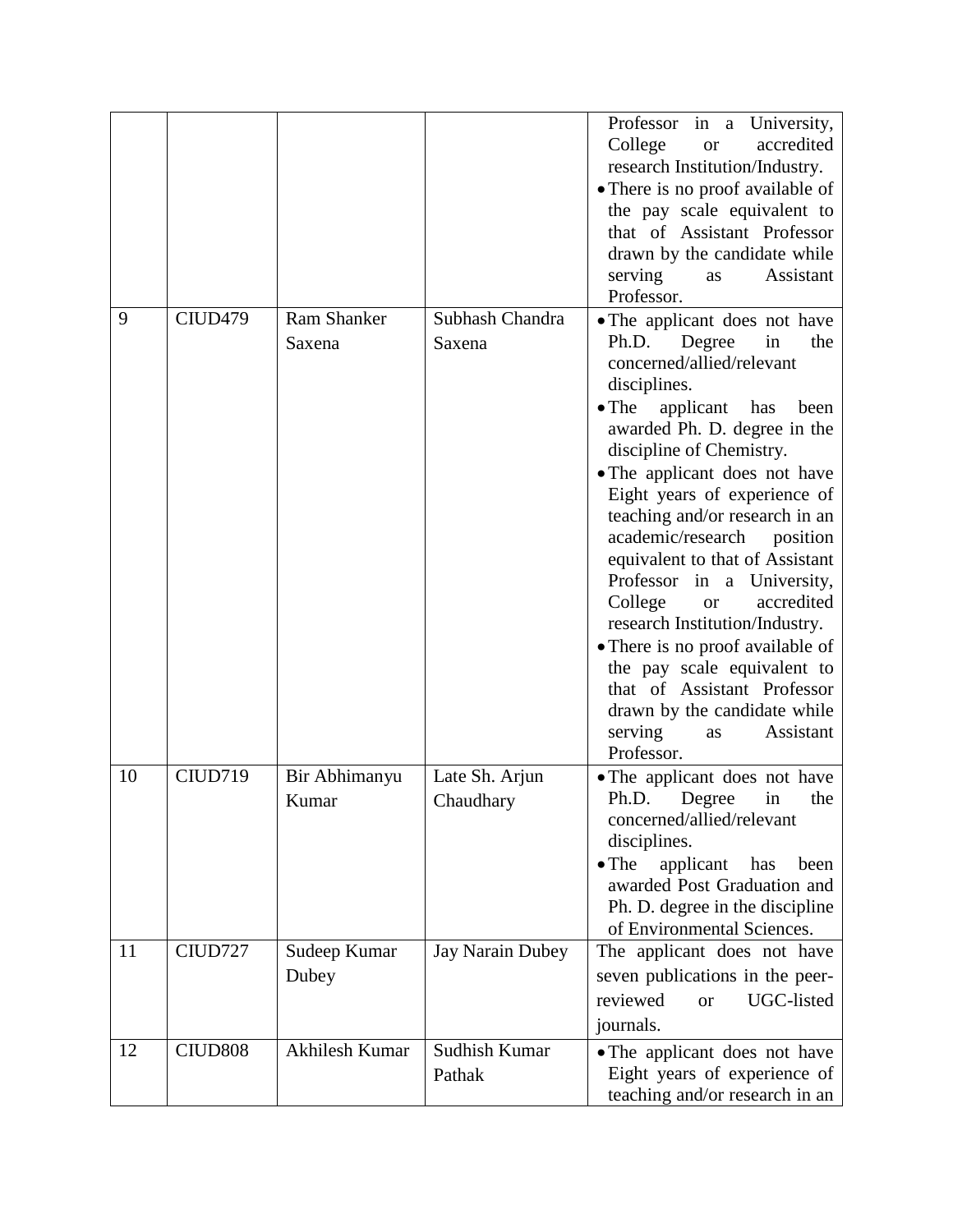|    |                     |                              |                             | Professor in a University,<br>College<br>accredited<br><b>or</b><br>research Institution/Industry.<br>• There is no proof available of<br>the pay scale equivalent to<br>that of Assistant Professor<br>drawn by the candidate while<br>serving<br>Assistant<br>as<br>Professor.                                                                                                                                                                                                                                                                                                                                                                                            |
|----|---------------------|------------------------------|-----------------------------|-----------------------------------------------------------------------------------------------------------------------------------------------------------------------------------------------------------------------------------------------------------------------------------------------------------------------------------------------------------------------------------------------------------------------------------------------------------------------------------------------------------------------------------------------------------------------------------------------------------------------------------------------------------------------------|
| 9  | CIUD <sub>479</sub> | <b>Ram Shanker</b><br>Saxena | Subhash Chandra<br>Saxena   | • The applicant does not have<br>Ph.D.<br>Degree<br>in<br>the<br>concerned/allied/relevant<br>disciplines.<br>$\bullet$ The<br>applicant has<br>been<br>awarded Ph. D. degree in the<br>discipline of Chemistry.<br>• The applicant does not have<br>Eight years of experience of<br>teaching and/or research in an<br>academic/research<br>position<br>equivalent to that of Assistant<br>Professor in a University,<br>College<br>accredited<br><b>or</b><br>research Institution/Industry.<br>• There is no proof available of<br>the pay scale equivalent to<br>that of Assistant Professor<br>drawn by the candidate while<br>Assistant<br>serving<br>as<br>Professor. |
| 10 | CIUD719             | Bir Abhimanyu<br>Kumar       | Late Sh. Arjun<br>Chaudhary | • The applicant does not have<br>Ph.D.<br>Degree<br>the<br>in<br>concerned/allied/relevant<br>disciplines.<br>$\bullet$ The<br>applicant<br>has<br>been<br>awarded Post Graduation and<br>Ph. D. degree in the discipline<br>of Environmental Sciences.                                                                                                                                                                                                                                                                                                                                                                                                                     |
| 11 | CIUD727             | Sudeep Kumar<br>Dubey        | Jay Narain Dubey            | The applicant does not have<br>seven publications in the peer-<br>reviewed<br>UGC-listed<br><b>or</b><br>journals.                                                                                                                                                                                                                                                                                                                                                                                                                                                                                                                                                          |
| 12 | CIUD <sub>808</sub> | Akhilesh Kumar               | Sudhish Kumar<br>Pathak     | • The applicant does not have<br>Eight years of experience of<br>teaching and/or research in an                                                                                                                                                                                                                                                                                                                                                                                                                                                                                                                                                                             |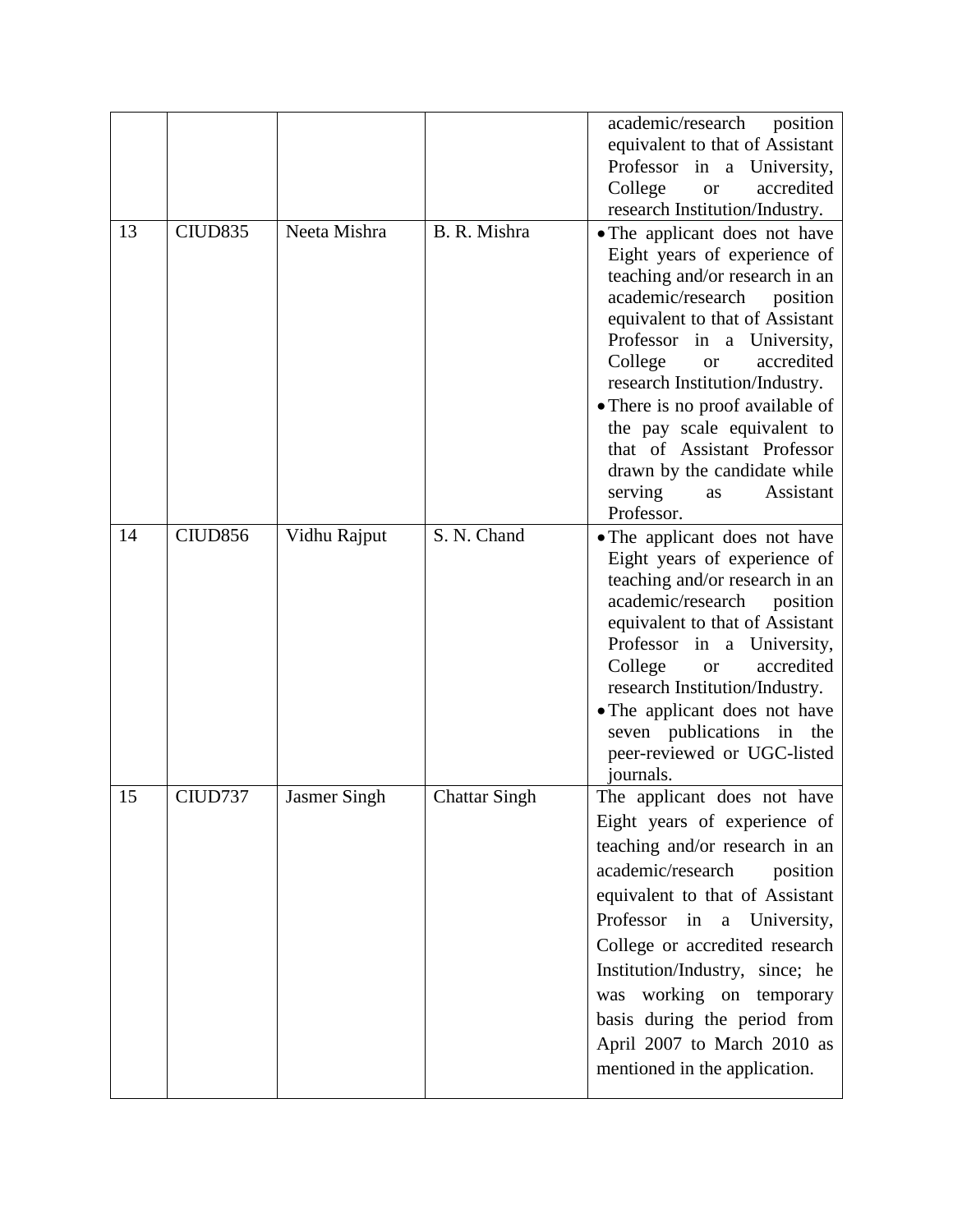|    |                     |                     |                      | academic/research<br>position<br>equivalent to that of Assistant<br>Professor in a University,<br>College<br>accredited<br><b>or</b><br>research Institution/Industry.                                                                                                                                                                                                                                                                                  |
|----|---------------------|---------------------|----------------------|---------------------------------------------------------------------------------------------------------------------------------------------------------------------------------------------------------------------------------------------------------------------------------------------------------------------------------------------------------------------------------------------------------------------------------------------------------|
| 13 | CIUD835             | Neeta Mishra        | B. R. Mishra         | • The applicant does not have<br>Eight years of experience of<br>teaching and/or research in an<br>academic/research<br>position<br>equivalent to that of Assistant<br>Professor in a University,<br>College<br>accredited<br><b>or</b><br>research Institution/Industry.<br>• There is no proof available of<br>the pay scale equivalent to<br>that of Assistant Professor<br>drawn by the candidate while<br>serving<br>Assistant<br>as<br>Professor. |
| 14 | CIUD <sub>856</sub> | Vidhu Rajput        | S. N. Chand          | • The applicant does not have<br>Eight years of experience of<br>teaching and/or research in an<br>academic/research<br>position<br>equivalent to that of Assistant<br>Professor in a University,<br>College<br>accredited<br><b>or</b><br>research Institution/Industry.<br>• The applicant does not have<br>seven publications in the<br>peer-reviewed or UGC-listed<br>journals.                                                                     |
| 15 | CIUD737             | <b>Jasmer Singh</b> | <b>Chattar Singh</b> | The applicant does not have<br>Eight years of experience of<br>teaching and/or research in an<br>academic/research<br>position<br>equivalent to that of Assistant<br>Professor in<br>University,<br>$\mathbf{a}$<br>College or accredited research<br>Institution/Industry, since; he<br>working on temporary<br>was<br>basis during the period from<br>April 2007 to March 2010 as<br>mentioned in the application.                                    |